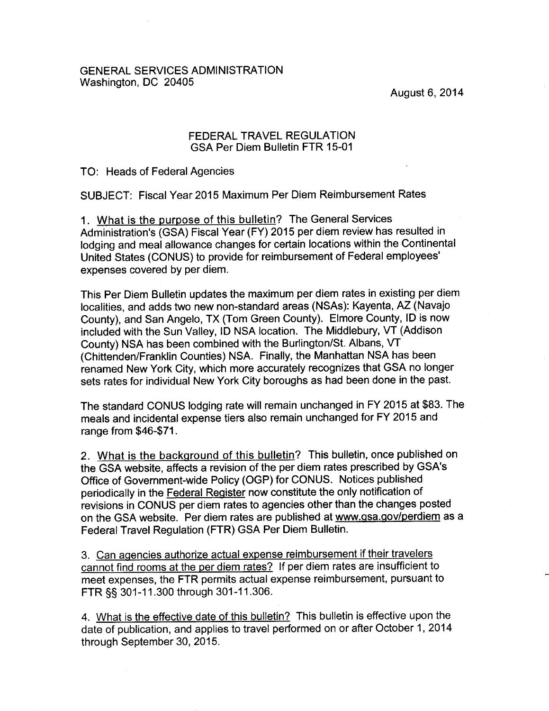August 6, 2014

## GENERAL SERVICES ADMINISTRATION Washington, DC 20405

## FEDERAL TRAVEL REGULATION GSA Per Diem Bulletin FTR 15-01

TO: Heads of Federal Agencies

SUBJECT: Fiscal Year 2015 Maximum Per Diem Reimbursement Rates

1. What is the purpose of this bulletin? The General Services Administration's (GSA) Fiscal Year (FY) 2015 per diem review has resulted in lodging and meal allowance changes for certain locations within the Continental United States (CONUS) to provide for reimbursement of Federal employees' expenses covered by per diem.

This Per Diem Bulletin updates the maximum per diem rates in existing per diem localities, and adds two new non-standard areas (NSAs): Kayenta, AZ (Navajo County), and San Angelo, TX (Tom Green County). Elmore County, ID is now included with the Sun Valley, ID NSA location. The Middlebury, VT (Addison County) NSA has been combined with the Burlington/St. Albans, VT (Chittenden/Franklin Counties) NSA. Finally, the Manhattan NSA has been renamed New York City, which more accurately recognizes that GSA no longer sets rates for individual New York City boroughs as had been done in the past.

The standard CONUS lodging rate will remain unchanged in FY 2015 at \$83. The meals and incidental expense tiers also remain unchanged for FY 2015 and range from \$46-\$71.

2. What is the background of this bulletin? This bulletin, once published on the GSA website, affects a revision of the per diem rates prescribed by GSA's Office of Government-wide Policy (OGP) for CONUS. Notices published periodically in the Federal Register now constitute the only notification of revisions in CONUS per diem rates to agencies other than the changes posted on the GSA website. Per diem rates are published at www.gsa.gov/perdiem as a Federal Travel Regulation (FTR) GSA Per Diem Bulletin.

3. Can agencies authorize actual expense reimbursement if their travelers cannot find rooms at the per diem rates? If per diem rates are insufficient to meet expenses, the FTR permits actual expense reimbursement, pursuant to FTR §§ 301-11.300 through 301-11.306.

4. What is the effective date of this bulletin? This bulletin is effective upon the date of publication, and applies to travel performed on or after October 1, 2014 through September 30, 2015.